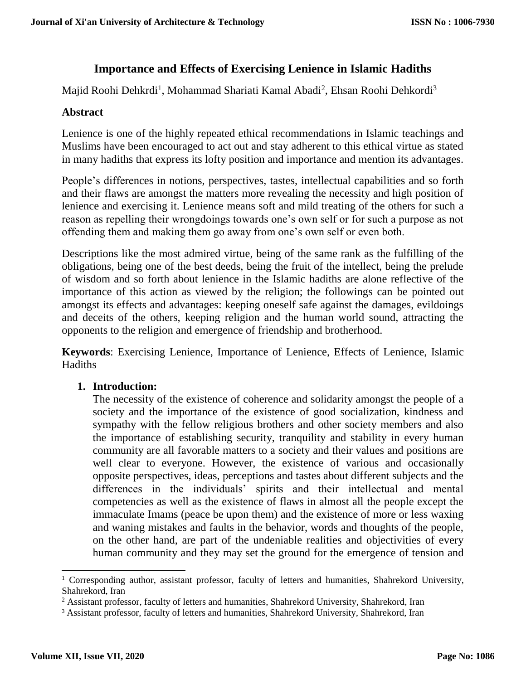# **Importance and Effects of Exercising Lenience in Islamic Hadiths**

Majid Roohi Dehkrdi<sup>1</sup>, Mohammad Shariati Kamal Abadi<sup>2</sup>, Ehsan Roohi Dehkordi<sup>3</sup>

# **Abstract**

Lenience is one of the highly repeated ethical recommendations in Islamic teachings and Muslims have been encouraged to act out and stay adherent to this ethical virtue as stated in many hadiths that express its lofty position and importance and mention its advantages.

People's differences in notions, perspectives, tastes, intellectual capabilities and so forth and their flaws are amongst the matters more revealing the necessity and high position of lenience and exercising it. Lenience means soft and mild treating of the others for such a reason as repelling their wrongdoings towards one's own self or for such a purpose as not offending them and making them go away from one's own self or even both.

Descriptions like the most admired virtue, being of the same rank as the fulfilling of the obligations, being one of the best deeds, being the fruit of the intellect, being the prelude of wisdom and so forth about lenience in the Islamic hadiths are alone reflective of the importance of this action as viewed by the religion; the followings can be pointed out amongst its effects and advantages: keeping oneself safe against the damages, evildoings and deceits of the others, keeping religion and the human world sound, attracting the opponents to the religion and emergence of friendship and brotherhood.

**Keywords**: Exercising Lenience, Importance of Lenience, Effects of Lenience, Islamic Hadiths

## **1. Introduction:**

The necessity of the existence of coherence and solidarity amongst the people of a society and the importance of the existence of good socialization, kindness and sympathy with the fellow religious brothers and other society members and also the importance of establishing security, tranquility and stability in every human community are all favorable matters to a society and their values and positions are well clear to everyone. However, the existence of various and occasionally opposite perspectives, ideas, perceptions and tastes about different subjects and the differences in the individuals' spirits and their intellectual and mental competencies as well as the existence of flaws in almost all the people except the immaculate Imams (peace be upon them) and the existence of more or less waxing and waning mistakes and faults in the behavior, words and thoughts of the people, on the other hand, are part of the undeniable realities and objectivities of every human community and they may set the ground for the emergence of tension and

 $\overline{a}$ 

<sup>&</sup>lt;sup>1</sup> Corresponding author, assistant professor, faculty of letters and humanities, Shahrekord University, Shahrekord, Iran

<sup>&</sup>lt;sup>2</sup> Assistant professor, faculty of letters and humanities, Shahrekord University, Shahrekord, Iran

<sup>&</sup>lt;sup>3</sup> Assistant professor, faculty of letters and humanities, Shahrekord University, Shahrekord, Iran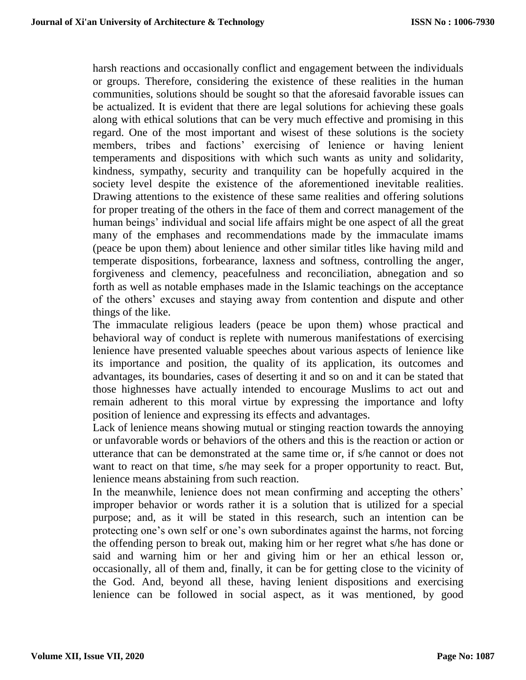harsh reactions and occasionally conflict and engagement between the individuals or groups. Therefore, considering the existence of these realities in the human communities, solutions should be sought so that the aforesaid favorable issues can be actualized. It is evident that there are legal solutions for achieving these goals along with ethical solutions that can be very much effective and promising in this regard. One of the most important and wisest of these solutions is the society members, tribes and factions' exercising of lenience or having lenient temperaments and dispositions with which such wants as unity and solidarity, kindness, sympathy, security and tranquility can be hopefully acquired in the society level despite the existence of the aforementioned inevitable realities. Drawing attentions to the existence of these same realities and offering solutions for proper treating of the others in the face of them and correct management of the human beings' individual and social life affairs might be one aspect of all the great many of the emphases and recommendations made by the immaculate imams (peace be upon them) about lenience and other similar titles like having mild and temperate dispositions, forbearance, laxness and softness, controlling the anger, forgiveness and clemency, peacefulness and reconciliation, abnegation and so forth as well as notable emphases made in the Islamic teachings on the acceptance of the others' excuses and staying away from contention and dispute and other things of the like.

The immaculate religious leaders (peace be upon them) whose practical and behavioral way of conduct is replete with numerous manifestations of exercising lenience have presented valuable speeches about various aspects of lenience like its importance and position, the quality of its application, its outcomes and advantages, its boundaries, cases of deserting it and so on and it can be stated that those highnesses have actually intended to encourage Muslims to act out and remain adherent to this moral virtue by expressing the importance and lofty position of lenience and expressing its effects and advantages.

Lack of lenience means showing mutual or stinging reaction towards the annoying or unfavorable words or behaviors of the others and this is the reaction or action or utterance that can be demonstrated at the same time or, if s/he cannot or does not want to react on that time, s/he may seek for a proper opportunity to react. But, lenience means abstaining from such reaction.

In the meanwhile, lenience does not mean confirming and accepting the others' improper behavior or words rather it is a solution that is utilized for a special purpose; and, as it will be stated in this research, such an intention can be protecting one's own self or one's own subordinates against the harms, not forcing the offending person to break out, making him or her regret what s/he has done or said and warning him or her and giving him or her an ethical lesson or, occasionally, all of them and, finally, it can be for getting close to the vicinity of the God. And, beyond all these, having lenient dispositions and exercising lenience can be followed in social aspect, as it was mentioned, by good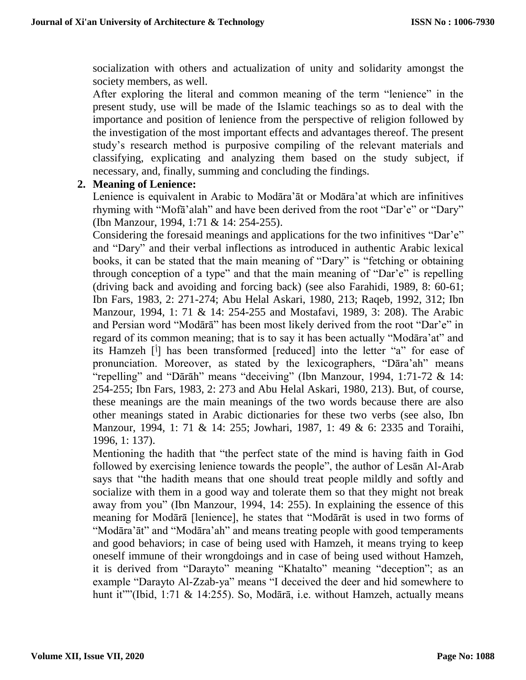socialization with others and actualization of unity and solidarity amongst the society members, as well.

After exploring the literal and common meaning of the term "lenience" in the present study, use will be made of the Islamic teachings so as to deal with the importance and position of lenience from the perspective of religion followed by the investigation of the most important effects and advantages thereof. The present study's research method is purposive compiling of the relevant materials and classifying, explicating and analyzing them based on the study subject, if necessary, and, finally, summing and concluding the findings.

#### **2. Meaning of Lenience:**

Lenience is equivalent in Arabic to Modāra'āt or Modāra'at which are infinitives rhyming with "Mofā'alah" and have been derived from the root "Dar'e" or "Dary" (Ibn Manzour, 1994, 1:71 & 14: 254-255).

Considering the foresaid meanings and applications for the two infinitives "Dar'e" and "Dary" and their verbal inflections as introduced in authentic Arabic lexical books, it can be stated that the main meaning of "Dary" is "fetching or obtaining through conception of a type" and that the main meaning of "Dar'e" is repelling (driving back and avoiding and forcing back) (see also Farahidi, 1989, 8: 60-61; Ibn Fars, 1983, 2: 271-274; Abu Helal Askari, 1980, 213; Raqeb, 1992, 312; Ibn Manzour, 1994, 1: 71 & 14: 254-255 and Mostafavi, 1989, 3: 208). The Arabic and Persian word "Modārā" has been most likely derived from the root "Dar'e" in regard of its common meaning; that is to say it has been actually "Modāra'at" and its Hamzeh [<sup>j</sup>] has been transformed [reduced] into the letter "a" for ease of pronunciation. Moreover, as stated by the lexicographers, "Dāra'ah" means "repelling" and "Dārāh" means "deceiving" (Ibn Manzour, 1994, 1:71-72 & 14: 254-255; Ibn Fars, 1983, 2: 273 and Abu Helal Askari, 1980, 213). But, of course, these meanings are the main meanings of the two words because there are also other meanings stated in Arabic dictionaries for these two verbs (see also, Ibn Manzour, 1994, 1: 71 & 14: 255; Jowhari, 1987, 1: 49 & 6: 2335 and Toraihi, 1996, 1: 137).

Mentioning the hadith that "the perfect state of the mind is having faith in God followed by exercising lenience towards the people", the author of Lesān Al-Arab says that "the hadith means that one should treat people mildly and softly and socialize with them in a good way and tolerate them so that they might not break away from you" (Ibn Manzour, 1994, 14: 255). In explaining the essence of this meaning for Modārā [lenience], he states that "Modārāt is used in two forms of "Modāra'āt" and "Modāra'ah" and means treating people with good temperaments and good behaviors; in case of being used with Hamzeh, it means trying to keep oneself immune of their wrongdoings and in case of being used without Hamzeh, it is derived from "Darayto" meaning "Khatalto" meaning "deception"; as an example "Darayto Al-Zzab-ya" means "I deceived the deer and hid somewhere to hunt it""(Ibid, 1:71 & 14:255). So, Modārā, i.e. without Hamzeh, actually means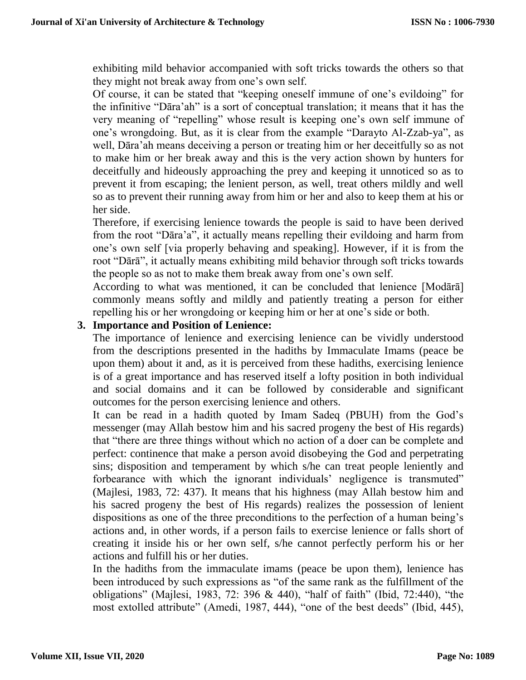exhibiting mild behavior accompanied with soft tricks towards the others so that they might not break away from one's own self.

Of course, it can be stated that "keeping oneself immune of one's evildoing" for the infinitive "Dāra'ah" is a sort of conceptual translation; it means that it has the very meaning of "repelling" whose result is keeping one's own self immune of one's wrongdoing. But, as it is clear from the example "Darayto Al-Zzab-ya", as well, Dāra'ah means deceiving a person or treating him or her deceitfully so as not to make him or her break away and this is the very action shown by hunters for deceitfully and hideously approaching the prey and keeping it unnoticed so as to prevent it from escaping; the lenient person, as well, treat others mildly and well so as to prevent their running away from him or her and also to keep them at his or her side.

Therefore, if exercising lenience towards the people is said to have been derived from the root "Dāra'a", it actually means repelling their evildoing and harm from one's own self [via properly behaving and speaking]. However, if it is from the root "Dārā", it actually means exhibiting mild behavior through soft tricks towards the people so as not to make them break away from one's own self.

According to what was mentioned, it can be concluded that lenience [Modārā] commonly means softly and mildly and patiently treating a person for either repelling his or her wrongdoing or keeping him or her at one's side or both.

# **3. Importance and Position of Lenience:**

The importance of lenience and exercising lenience can be vividly understood from the descriptions presented in the hadiths by Immaculate Imams (peace be upon them) about it and, as it is perceived from these hadiths, exercising lenience is of a great importance and has reserved itself a lofty position in both individual and social domains and it can be followed by considerable and significant outcomes for the person exercising lenience and others.

It can be read in a hadith quoted by Imam Sadeq (PBUH) from the God's messenger (may Allah bestow him and his sacred progeny the best of His regards) that "there are three things without which no action of a doer can be complete and perfect: continence that make a person avoid disobeying the God and perpetrating sins; disposition and temperament by which s/he can treat people leniently and forbearance with which the ignorant individuals' negligence is transmuted" (Majlesi, 1983, 72: 437). It means that his highness (may Allah bestow him and his sacred progeny the best of His regards) realizes the possession of lenient dispositions as one of the three preconditions to the perfection of a human being's actions and, in other words, if a person fails to exercise lenience or falls short of creating it inside his or her own self, s/he cannot perfectly perform his or her actions and fulfill his or her duties.

In the hadiths from the immaculate imams (peace be upon them), lenience has been introduced by such expressions as "of the same rank as the fulfillment of the obligations" (Majlesi, 1983, 72: 396 & 440), "half of faith" (Ibid, 72:440), "the most extolled attribute" (Amedi, 1987, 444), "one of the best deeds" (Ibid, 445),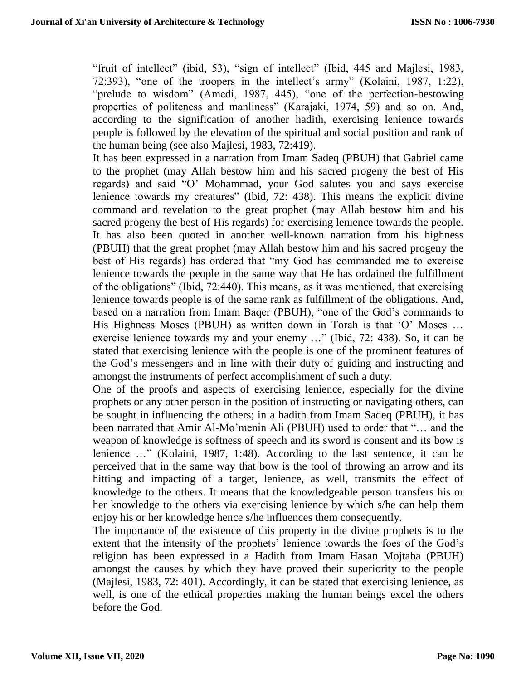"fruit of intellect" (ibid, 53), "sign of intellect" (Ibid, 445 and Majlesi, 1983, 72:393), "one of the troopers in the intellect's army" (Kolaini, 1987, 1:22), "prelude to wisdom" (Amedi, 1987, 445), "one of the perfection-bestowing properties of politeness and manliness" (Karajaki, 1974, 59) and so on. And, according to the signification of another hadith, exercising lenience towards people is followed by the elevation of the spiritual and social position and rank of the human being (see also Majlesi, 1983, 72:419).

It has been expressed in a narration from Imam Sadeq (PBUH) that Gabriel came to the prophet (may Allah bestow him and his sacred progeny the best of His regards) and said "O' Mohammad, your God salutes you and says exercise lenience towards my creatures" (Ibid, 72: 438). This means the explicit divine command and revelation to the great prophet (may Allah bestow him and his sacred progeny the best of His regards) for exercising lenience towards the people. It has also been quoted in another well-known narration from his highness (PBUH) that the great prophet (may Allah bestow him and his sacred progeny the best of His regards) has ordered that "my God has commanded me to exercise lenience towards the people in the same way that He has ordained the fulfillment of the obligations" (Ibid, 72:440). This means, as it was mentioned, that exercising lenience towards people is of the same rank as fulfillment of the obligations. And, based on a narration from Imam Baqer (PBUH), "one of the God's commands to His Highness Moses (PBUH) as written down in Torah is that 'O' Moses … exercise lenience towards my and your enemy …" (Ibid, 72: 438). So, it can be stated that exercising lenience with the people is one of the prominent features of the God's messengers and in line with their duty of guiding and instructing and amongst the instruments of perfect accomplishment of such a duty.

One of the proofs and aspects of exercising lenience, especially for the divine prophets or any other person in the position of instructing or navigating others, can be sought in influencing the others; in a hadith from Imam Sadeq (PBUH), it has been narrated that Amir Al-Mo'menin Ali (PBUH) used to order that "… and the weapon of knowledge is softness of speech and its sword is consent and its bow is lenience …" (Kolaini, 1987, 1:48). According to the last sentence, it can be perceived that in the same way that bow is the tool of throwing an arrow and its hitting and impacting of a target, lenience, as well, transmits the effect of knowledge to the others. It means that the knowledgeable person transfers his or her knowledge to the others via exercising lenience by which s/he can help them enjoy his or her knowledge hence s/he influences them consequently.

The importance of the existence of this property in the divine prophets is to the extent that the intensity of the prophets' lenience towards the foes of the God's religion has been expressed in a Hadith from Imam Hasan Mojtaba (PBUH) amongst the causes by which they have proved their superiority to the people (Majlesi, 1983, 72: 401). Accordingly, it can be stated that exercising lenience, as well, is one of the ethical properties making the human beings excel the others before the God.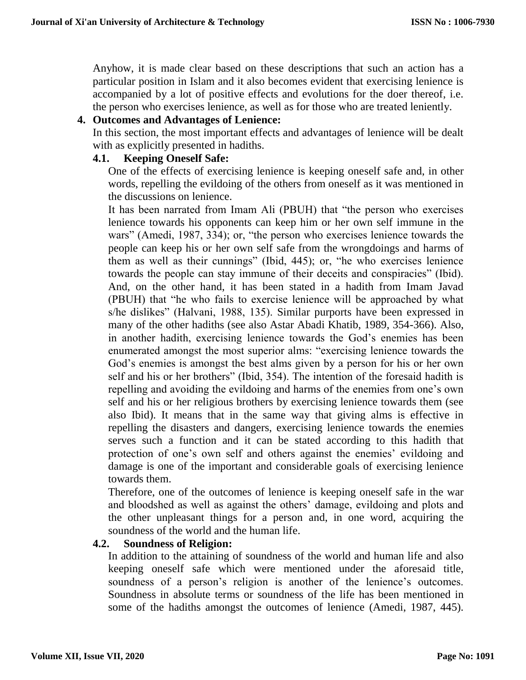Anyhow, it is made clear based on these descriptions that such an action has a particular position in Islam and it also becomes evident that exercising lenience is accompanied by a lot of positive effects and evolutions for the doer thereof, i.e. the person who exercises lenience, as well as for those who are treated leniently.

#### **4. Outcomes and Advantages of Lenience:**

In this section, the most important effects and advantages of lenience will be dealt with as explicitly presented in hadiths.

#### **4.1. Keeping Oneself Safe:**

One of the effects of exercising lenience is keeping oneself safe and, in other words, repelling the evildoing of the others from oneself as it was mentioned in the discussions on lenience.

It has been narrated from Imam Ali (PBUH) that "the person who exercises lenience towards his opponents can keep him or her own self immune in the wars" (Amedi, 1987, 334); or, "the person who exercises lenience towards the people can keep his or her own self safe from the wrongdoings and harms of them as well as their cunnings" (Ibid, 445); or, "he who exercises lenience towards the people can stay immune of their deceits and conspiracies" (Ibid). And, on the other hand, it has been stated in a hadith from Imam Javad (PBUH) that "he who fails to exercise lenience will be approached by what s/he dislikes" (Halvani, 1988, 135). Similar purports have been expressed in many of the other hadiths (see also Astar Abadi Khatib, 1989, 354-366). Also, in another hadith, exercising lenience towards the God's enemies has been enumerated amongst the most superior alms: "exercising lenience towards the God's enemies is amongst the best alms given by a person for his or her own self and his or her brothers" (Ibid, 354). The intention of the foresaid hadith is repelling and avoiding the evildoing and harms of the enemies from one's own self and his or her religious brothers by exercising lenience towards them (see also Ibid). It means that in the same way that giving alms is effective in repelling the disasters and dangers, exercising lenience towards the enemies serves such a function and it can be stated according to this hadith that protection of one's own self and others against the enemies' evildoing and damage is one of the important and considerable goals of exercising lenience towards them.

Therefore, one of the outcomes of lenience is keeping oneself safe in the war and bloodshed as well as against the others' damage, evildoing and plots and the other unpleasant things for a person and, in one word, acquiring the soundness of the world and the human life.

## **4.2. Soundness of Religion:**

In addition to the attaining of soundness of the world and human life and also keeping oneself safe which were mentioned under the aforesaid title, soundness of a person's religion is another of the lenience's outcomes. Soundness in absolute terms or soundness of the life has been mentioned in some of the hadiths amongst the outcomes of lenience (Amedi, 1987, 445).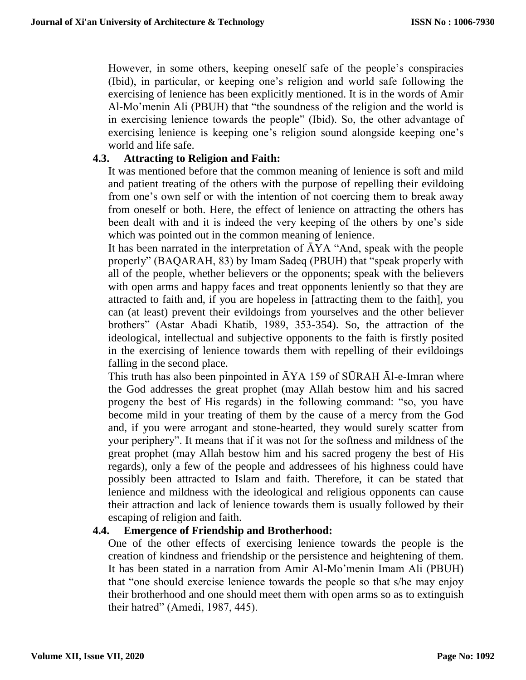However, in some others, keeping oneself safe of the people's conspiracies (Ibid), in particular, or keeping one's religion and world safe following the exercising of lenience has been explicitly mentioned. It is in the words of Amir Al-Mo'menin Ali (PBUH) that "the soundness of the religion and the world is in exercising lenience towards the people" (Ibid). So, the other advantage of exercising lenience is keeping one's religion sound alongside keeping one's world and life safe.

## **4.3. Attracting to Religion and Faith:**

It was mentioned before that the common meaning of lenience is soft and mild and patient treating of the others with the purpose of repelling their evildoing from one's own self or with the intention of not coercing them to break away from oneself or both. Here, the effect of lenience on attracting the others has been dealt with and it is indeed the very keeping of the others by one's side which was pointed out in the common meaning of lenience.

It has been narrated in the interpretation of  $\bar{A}YA$  "And, speak with the people properly" (BAQARAH, 83) by Imam Sadeq (PBUH) that "speak properly with all of the people, whether believers or the opponents; speak with the believers with open arms and happy faces and treat opponents leniently so that they are attracted to faith and, if you are hopeless in [attracting them to the faith], you can (at least) prevent their evildoings from yourselves and the other believer brothers" (Astar Abadi Khatib, 1989, 353-354). So, the attraction of the ideological, intellectual and subjective opponents to the faith is firstly posited in the exercising of lenience towards them with repelling of their evildoings falling in the second place.

This truth has also been pinpointed in  $\overline{A}YA$  159 of SURAH  $\overline{A}l$ -e-Imran where the God addresses the great prophet (may Allah bestow him and his sacred progeny the best of His regards) in the following command: "so, you have become mild in your treating of them by the cause of a mercy from the God and, if you were arrogant and stone-hearted, they would surely scatter from your periphery". It means that if it was not for the softness and mildness of the great prophet (may Allah bestow him and his sacred progeny the best of His regards), only a few of the people and addressees of his highness could have possibly been attracted to Islam and faith. Therefore, it can be stated that lenience and mildness with the ideological and religious opponents can cause their attraction and lack of lenience towards them is usually followed by their escaping of religion and faith.

## **4.4. Emergence of Friendship and Brotherhood:**

One of the other effects of exercising lenience towards the people is the creation of kindness and friendship or the persistence and heightening of them. It has been stated in a narration from Amir Al-Mo'menin Imam Ali (PBUH) that "one should exercise lenience towards the people so that s/he may enjoy their brotherhood and one should meet them with open arms so as to extinguish their hatred" (Amedi, 1987, 445).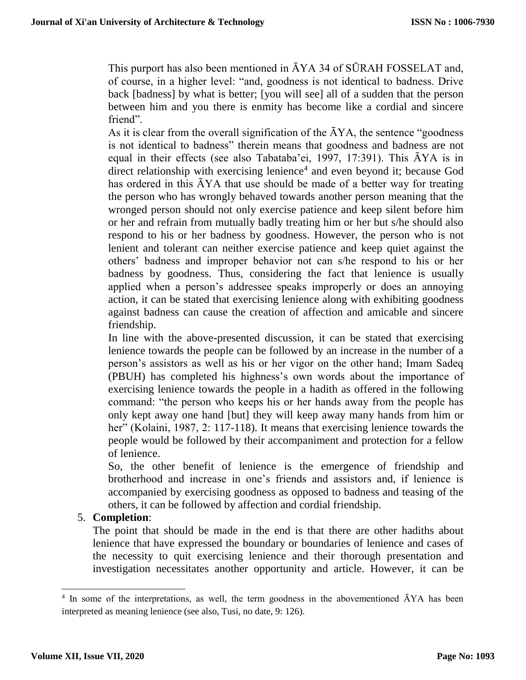This purport has also been mentioned in ĀYA 34 of SŪRAH FOSSELAT and, of course, in a higher level: "and, goodness is not identical to badness. Drive back [badness] by what is better; [you will see] all of a sudden that the person between him and you there is enmity has become like a cordial and sincere friend".

As it is clear from the overall signification of the  $\overline{A}YA$ , the sentence "goodness" is not identical to badness" therein means that goodness and badness are not equal in their effects (see also Tabataba'ei, 1997, 17:391). This ĀYA is in direct relationship with exercising lenience<sup>4</sup> and even beyond it; because God has ordered in this  $\bar{A}YA$  that use should be made of a better way for treating the person who has wrongly behaved towards another person meaning that the wronged person should not only exercise patience and keep silent before him or her and refrain from mutually badly treating him or her but s/he should also respond to his or her badness by goodness. However, the person who is not lenient and tolerant can neither exercise patience and keep quiet against the others' badness and improper behavior not can s/he respond to his or her badness by goodness. Thus, considering the fact that lenience is usually applied when a person's addressee speaks improperly or does an annoying action, it can be stated that exercising lenience along with exhibiting goodness against badness can cause the creation of affection and amicable and sincere friendship.

In line with the above-presented discussion, it can be stated that exercising lenience towards the people can be followed by an increase in the number of a person's assistors as well as his or her vigor on the other hand; Imam Sadeq (PBUH) has completed his highness's own words about the importance of exercising lenience towards the people in a hadith as offered in the following command: "the person who keeps his or her hands away from the people has only kept away one hand [but] they will keep away many hands from him or her" (Kolaini, 1987, 2: 117-118). It means that exercising lenience towards the people would be followed by their accompaniment and protection for a fellow of lenience.

So, the other benefit of lenience is the emergence of friendship and brotherhood and increase in one's friends and assistors and, if lenience is accompanied by exercising goodness as opposed to badness and teasing of the others, it can be followed by affection and cordial friendship.

# 5. **Completion**:

The point that should be made in the end is that there are other hadiths about lenience that have expressed the boundary or boundaries of lenience and cases of the necessity to quit exercising lenience and their thorough presentation and investigation necessitates another opportunity and article. However, it can be

<sup>&</sup>lt;sup>4</sup> In some of the interpretations, as well, the term goodness in the abovementioned AYA has been interpreted as meaning lenience (see also, Tusi, no date, 9: 126).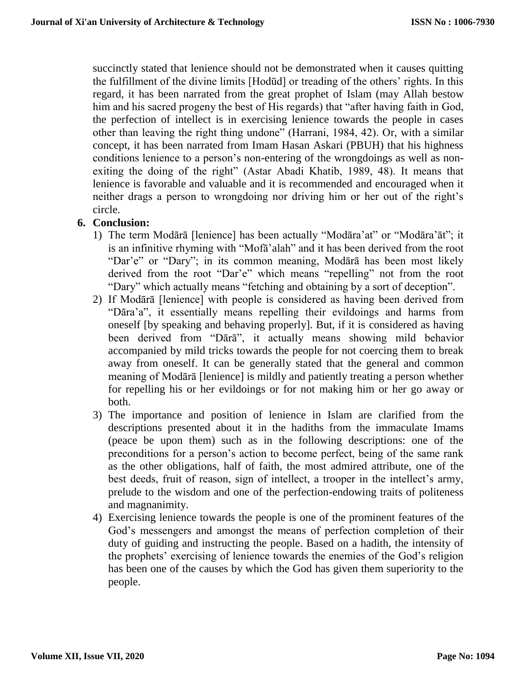succinctly stated that lenience should not be demonstrated when it causes quitting the fulfillment of the divine limits [Hodūd] or treading of the others' rights. In this regard, it has been narrated from the great prophet of Islam (may Allah bestow him and his sacred progeny the best of His regards) that "after having faith in God, the perfection of intellect is in exercising lenience towards the people in cases other than leaving the right thing undone" (Harrani, 1984, 42). Or, with a similar concept, it has been narrated from Imam Hasan Askari (PBUH) that his highness conditions lenience to a person's non-entering of the wrongdoings as well as nonexiting the doing of the right" (Astar Abadi Khatib, 1989, 48). It means that lenience is favorable and valuable and it is recommended and encouraged when it neither drags a person to wrongdoing nor driving him or her out of the right's circle.

# **6. Conclusion:**

- 1) The term Modārā [lenience] has been actually "Modāra'at" or "Modāra'āt"; it is an infinitive rhyming with "Mofā'alah" and it has been derived from the root "Dar'e" or "Dary"; in its common meaning, Modārā has been most likely derived from the root "Dar'e" which means "repelling" not from the root "Dary" which actually means "fetching and obtaining by a sort of deception".
- 2) If Modārā [lenience] with people is considered as having been derived from "Dāra'a", it essentially means repelling their evildoings and harms from oneself [by speaking and behaving properly]. But, if it is considered as having been derived from "Dārā", it actually means showing mild behavior accompanied by mild tricks towards the people for not coercing them to break away from oneself. It can be generally stated that the general and common meaning of Modārā [lenience] is mildly and patiently treating a person whether for repelling his or her evildoings or for not making him or her go away or both.
- 3) The importance and position of lenience in Islam are clarified from the descriptions presented about it in the hadiths from the immaculate Imams (peace be upon them) such as in the following descriptions: one of the preconditions for a person's action to become perfect, being of the same rank as the other obligations, half of faith, the most admired attribute, one of the best deeds, fruit of reason, sign of intellect, a trooper in the intellect's army, prelude to the wisdom and one of the perfection-endowing traits of politeness and magnanimity.
- 4) Exercising lenience towards the people is one of the prominent features of the God's messengers and amongst the means of perfection completion of their duty of guiding and instructing the people. Based on a hadith, the intensity of the prophets' exercising of lenience towards the enemies of the God's religion has been one of the causes by which the God has given them superiority to the people.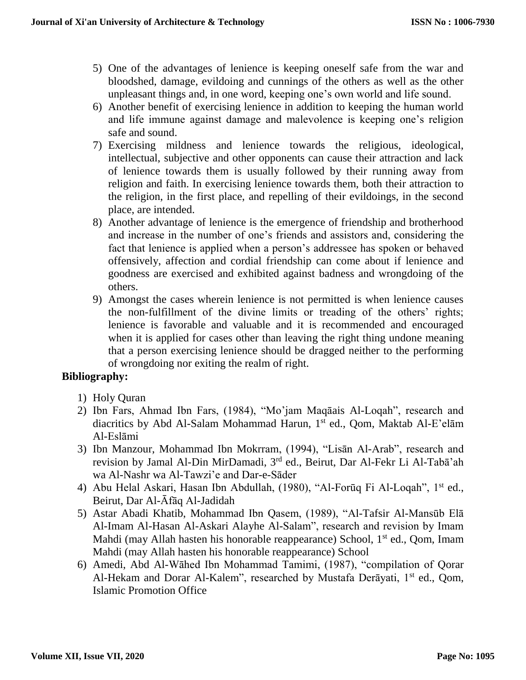- 5) One of the advantages of lenience is keeping oneself safe from the war and bloodshed, damage, evildoing and cunnings of the others as well as the other unpleasant things and, in one word, keeping one's own world and life sound.
- 6) Another benefit of exercising lenience in addition to keeping the human world and life immune against damage and malevolence is keeping one's religion safe and sound.
- 7) Exercising mildness and lenience towards the religious, ideological, intellectual, subjective and other opponents can cause their attraction and lack of lenience towards them is usually followed by their running away from religion and faith. In exercising lenience towards them, both their attraction to the religion, in the first place, and repelling of their evildoings, in the second place, are intended.
- 8) Another advantage of lenience is the emergence of friendship and brotherhood and increase in the number of one's friends and assistors and, considering the fact that lenience is applied when a person's addressee has spoken or behaved offensively, affection and cordial friendship can come about if lenience and goodness are exercised and exhibited against badness and wrongdoing of the others.
- 9) Amongst the cases wherein lenience is not permitted is when lenience causes the non-fulfillment of the divine limits or treading of the others' rights; lenience is favorable and valuable and it is recommended and encouraged when it is applied for cases other than leaving the right thing undone meaning that a person exercising lenience should be dragged neither to the performing of wrongdoing nor exiting the realm of right.

## **Bibliography:**

- 1) Holy Quran
- 2) Ibn Fars, Ahmad Ibn Fars, (1984), "Mo'jam Maqāais Al-Loqah", research and diacritics by Abd Al-Salam Mohammad Harun, 1<sup>st</sup> ed., Qom, Maktab Al-E'elam Al-Eslāmi
- 3) Ibn Manzour, Mohammad Ibn Mokrram, (1994), "Lisān Al-Arab", research and revision by Jamal Al-Din MirDamadi, 3rd ed., Beirut, Dar Al-Fekr Li Al-Tabā'ah wa Al-Nashr wa Al-Tawzi'e and Dar-e-Sāder
- 4) Abu Helal Askari, Hasan Ibn Abdullah, (1980), "Al-Forūq Fi Al-Loqah", 1st ed., Beirut, Dar Al-Āfāq Al-Jadidah
- 5) Astar Abadi Khatib, Mohammad Ibn Qasem, (1989), "Al-Tafsir Al-Mansūb Elā Al-Imam Al-Hasan Al-Askari Alayhe Al-Salam", research and revision by Imam Mahdi (may Allah hasten his honorable reappearance) School,  $1<sup>st</sup>$  ed., Qom, Imam Mahdi (may Allah hasten his honorable reappearance) School
- 6) Amedi, Abd Al-Wāhed Ibn Mohammad Tamimi, (1987), "compilation of Qorar Al-Hekam and Dorar Al-Kalem", researched by Mustafa Derāyati, 1<sup>st</sup> ed., Qom, Islamic Promotion Office